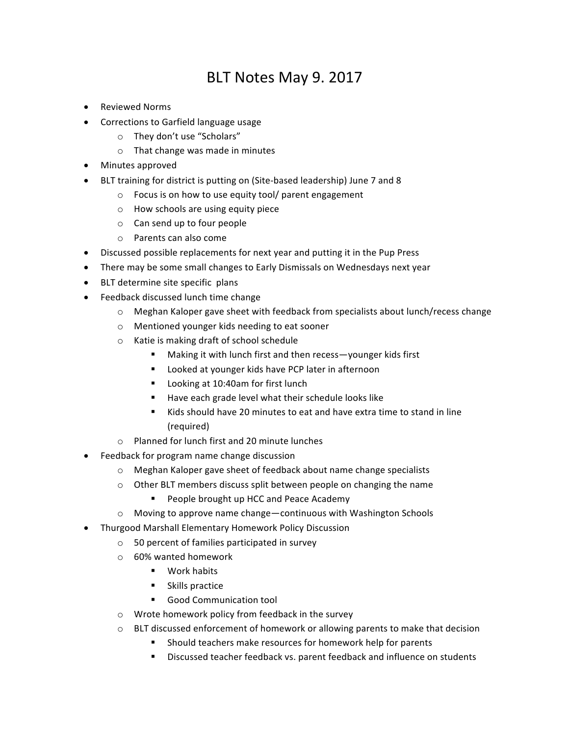## BLT Notes May 9. 2017

- Reviewed Norms
- Corrections to Garfield language usage
	- $\circ$  They don't use "Scholars"
	- $\circ$  That change was made in minutes
- Minutes approved
- BLT training for district is putting on (Site-based leadership) June 7 and 8
	- $\circ$  Focus is on how to use equity tool/ parent engagement
	- $\circ$  How schools are using equity piece
	- $\circ$  Can send up to four people
	- $\circ$  Parents can also come
- Discussed possible replacements for next year and putting it in the Pup Press
- There may be some small changes to Early Dismissals on Wednesdays next year
- BLT determine site specific plans
- Feedback discussed lunch time change
	- $\circ$  Meghan Kaloper gave sheet with feedback from specialists about lunch/recess change
	- o Mentioned younger kids needing to eat sooner
	- $\circ$  Katie is making draft of school schedule
		- Making it with lunch first and then recess—younger kids first
		- Looked at younger kids have PCP later in afternoon
		- Looking at 10:40am for first lunch
		- Have each grade level what their schedule looks like
		- Kids should have 20 minutes to eat and have extra time to stand in line (required)
	- $\circ$  Planned for lunch first and 20 minute lunches
- Feedback for program name change discussion
	- o Meghan Kaloper gave sheet of feedback about name change specialists
	- $\circ$  Other BLT members discuss split between people on changing the name
		- People brought up HCC and Peace Academy
	- $\circ$  Moving to approve name change—continuous with Washington Schools
- Thurgood Marshall Elementary Homework Policy Discussion
	- $\circ$  50 percent of families participated in survey
	- o 60% wanted homework
		- Work habits
		- Skills practice
		- Good Communication tool
	- $\circ$  Wrote homework policy from feedback in the survey
	- $\circ$  BLT discussed enforcement of homework or allowing parents to make that decision
		- Should teachers make resources for homework help for parents
		- Discussed teacher feedback vs. parent feedback and influence on students